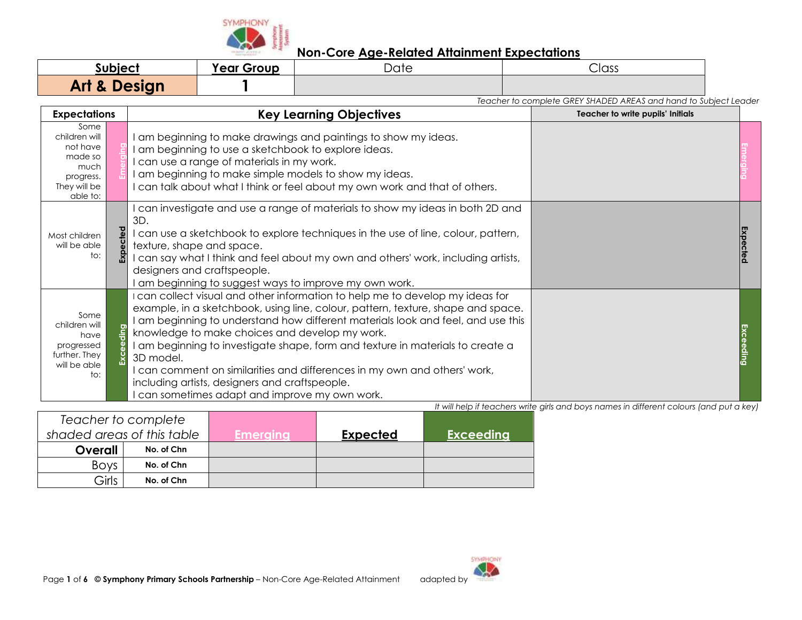

| Subject                 | <b>Year Group</b> | Date | Class |  |
|-------------------------|-------------------|------|-------|--|
| <b>Art &amp; Design</b> |                   |      |       |  |

|                                                                                                      |                                                                                                                                                                                                                                                                                                                                                                                                                                                                                                                                                                                 | Teacher to complete GREY SHADED AREAS and hand to Subject Leader |  |
|------------------------------------------------------------------------------------------------------|---------------------------------------------------------------------------------------------------------------------------------------------------------------------------------------------------------------------------------------------------------------------------------------------------------------------------------------------------------------------------------------------------------------------------------------------------------------------------------------------------------------------------------------------------------------------------------|------------------------------------------------------------------|--|
| <b>Expectations</b>                                                                                  | <b>Key Learning Objectives</b>                                                                                                                                                                                                                                                                                                                                                                                                                                                                                                                                                  | Teacher to write pupils' Initials                                |  |
| Some<br>children will<br>not have<br>made so<br>much<br>progress.<br>They will be<br>able to:        | am beginning to make drawings and paintings to show my ideas.<br>am beginning to use a sketchbook to explore ideas.<br>can use a range of materials in my work.<br>am beginning to make simple models to show my ideas.<br>can talk about what I think or feel about my own work and that of others.                                                                                                                                                                                                                                                                            |                                                                  |  |
| Expected<br>Most children<br>will be able<br>to:                                                     | can investigate and use a range of materials to show my ideas in both 2D and<br>3D.<br>I can use a sketchbook to explore techniques in the use of line, colour, pattern,<br>texture, shape and space.<br>can say what I think and feel about my own and others' work, including artists,<br>designers and craftspeople.<br>am beginning to suggest ways to improve my own work.                                                                                                                                                                                                 |                                                                  |  |
| Some<br>children will<br>eeding<br>have<br>progressed<br>Exc<br>further. They<br>will be able<br>to: | I can collect visual and other information to help me to develop my ideas for<br>example, in a sketchbook, using line, colour, pattern, texture, shape and space.<br>am beginning to understand how different materials look and feel, and use this<br>knowledge to make choices and develop my work.<br>am beginning to investigate shape, form and texture in materials to create a<br>3D model.<br>can comment on similarities and differences in my own and others' work,<br>including artists, designers and craftspeople.<br>can sometimes adapt and improve my own work. |                                                                  |  |

| Teacher to complete        |            |          |                 |                  |
|----------------------------|------------|----------|-----------------|------------------|
| shaded areas of this table |            | Emeraina | <b>Expected</b> | <b>Exceeding</b> |
| Overall                    | No. of Chn |          |                 |                  |
| <b>Boys</b>                | No. of Chn |          |                 |                  |
| Girls                      | No. of Chn |          |                 |                  |

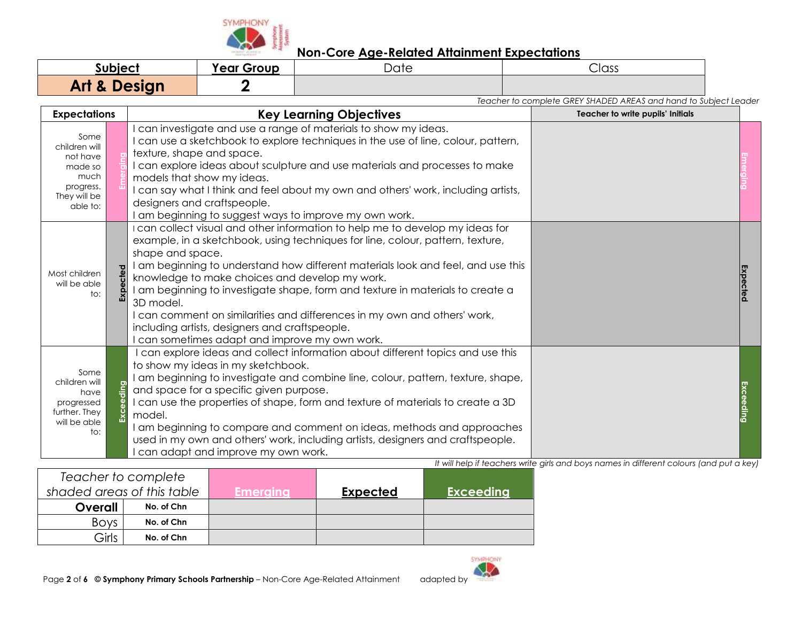

| subiect                 | <b>Year Group</b> | Date | Class |
|-------------------------|-------------------|------|-------|
| <b>Art &amp; Design</b> |                   |      |       |

*Teacher to complete GREY SHADED AREAS and hand to Subject Leader*

| <b>Expectations</b>                                                                           | <b>Key Learning Objectives</b>                                                                                                                                                                                                                                                                                                                                                                                                                                                                                                                                                                                        | Teacher to write pupils' Initials |          |
|-----------------------------------------------------------------------------------------------|-----------------------------------------------------------------------------------------------------------------------------------------------------------------------------------------------------------------------------------------------------------------------------------------------------------------------------------------------------------------------------------------------------------------------------------------------------------------------------------------------------------------------------------------------------------------------------------------------------------------------|-----------------------------------|----------|
| Some<br>children will<br>not have<br>made so<br>much<br>progress.<br>They will be<br>able to: | can investigate and use a range of materials to show my ideas.<br>I can use a sketchbook to explore techniques in the use of line, colour, pattern,<br>texture, shape and space.<br>I can explore ideas about sculpture and use materials and processes to make<br>models that show my ideas.<br>I can say what I think and feel about my own and others' work, including artists,<br>designers and craftspeople.<br>I am beginning to suggest ways to improve my own work.                                                                                                                                           |                                   |          |
| Most children<br>will be able<br>to:                                                          | I can collect visual and other information to help me to develop my ideas for<br>example, in a sketchbook, using techniques for line, colour, pattern, texture,<br>shape and space.<br>I am beginning to understand how different materials look and feel, and use this<br>Expected<br>knowledge to make choices and develop my work.<br>I am beginning to investigate shape, form and texture in materials to create a<br>3D model.<br>I can comment on similarities and differences in my own and others' work,<br>including artists, designers and craftspeople.<br>I can sometimes adapt and improve my own work. |                                   | Expected |
| Some<br>children will<br>have<br>progressed<br>further. They<br>will be able<br>to:           | I can explore ideas and collect information about different topics and use this<br>to show my ideas in my sketchbook.<br>I am beginning to investigate and combine line, colour, pattern, texture, shape,<br>ding<br>and space for a specific given purpose.<br>I can use the properties of shape, form and texture of materials to create a 3D<br>model.<br>am beginning to compare and comment on ideas, methods and approaches<br>used in my own and others' work, including artists, designers and craftspeople.<br>can adapt and improve my own work.                                                            |                                   |          |

| It will help if teachers write girls and boys names in different colours (and put a key) |  |
|------------------------------------------------------------------------------------------|--|
|                                                                                          |  |

| Teacher to complete        |            |          |                 |                  |
|----------------------------|------------|----------|-----------------|------------------|
| shaded areas of this table |            | Emeraina | <b>Expected</b> | <b>Exceeding</b> |
| Overall                    | No. of Chn |          |                 |                  |
| <b>Boys</b>                | No. of Chn |          |                 |                  |
| Girls                      | No. of Chn |          |                 |                  |

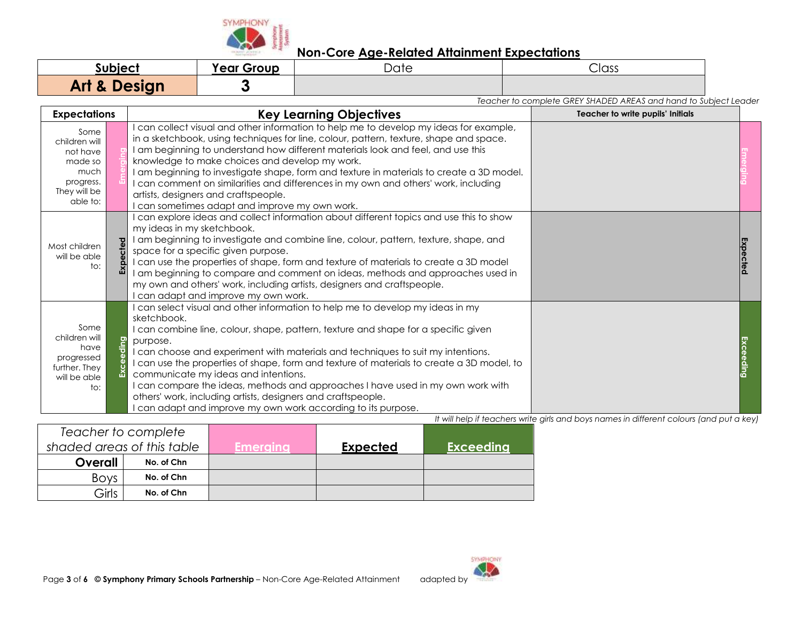

| Subiect                 | <b>Year Group</b> | Date | Class |
|-------------------------|-------------------|------|-------|
| <b>Art &amp; Design</b> |                   |      |       |

*Teacher to complete GREY SHADED AREAS and hand to Subject Leader* **Expectations Key Learning Objectives Teacher to write pupils' Initials Teacher to write pupils' Initials** Some children will not have made so much progress. They will be able to: **Emerging** I can collect visual and other information to help me to develop my ideas for example, in a sketchbook, using techniques for line, colour, pattern, texture, shape and space. I am beginning to understand how different materials look and feel, and use this knowledge to make choices and develop my work. I am beginning to investigate shape, form and texture in materials to create a 3D model. I can comment on similarities and differences in my own and others' work, including artists, designers and craftspeople. I can sometimes adapt and improve my own work. **Emerging** Most children will be able to: **Expected** I can explore ideas and collect information about different topics and use this to show my ideas in my sketchbook. I am beginning to investigate and combine line, colour, pattern, texture, shape, and space for a specific given purpose. I can use the properties of shape, form and texture of materials to create a 3D model I am beginning to compare and comment on ideas, methods and approaches used in my own and others' work, including artists, designers and craftspeople. I can adapt and improve my own work. **Expected** Some children will have progressed further. They will be able to: **Exceeding** I can select visual and other information to help me to develop my ideas in my sketchbook. I can combine line, colour, shape, pattern, texture and shape for a specific given purpose. I can choose and experiment with materials and techniques to suit my intentions. I can use the properties of shape, form and texture of materials to create a 3D model, to communicate my ideas and intentions. I can compare the ideas, methods and approaches I have used in my own work with others' work, including artists, designers and craftspeople. I can adapt and improve my own work according to its purpose. **Exceeding** *It will help if teachers write girls and boys names in different colours (and put a key)*

| Teacher to complete        |            |                   |                 |                  |
|----------------------------|------------|-------------------|-----------------|------------------|
| shaded areas of this table |            | <u> Emerginal</u> | <b>Expected</b> | <b>Exceeding</b> |
| Overall                    | No. of Chn |                   |                 |                  |
| <b>Boys</b>                | No. of Chn |                   |                 |                  |
| Girls                      | No. of Chn |                   |                 |                  |

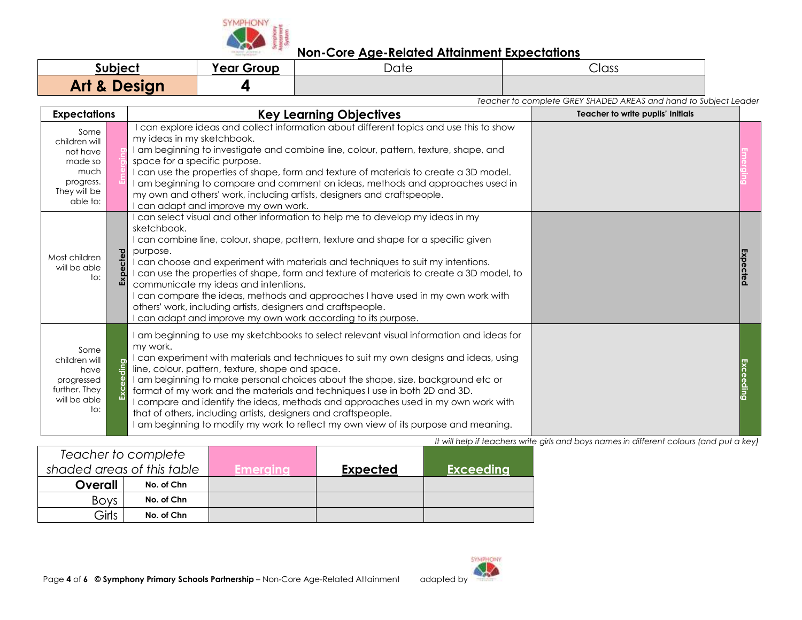

| subject                 | <b>Year Group</b> | $\overline{\phantom{1}}$<br>Date | $\overline{\phantom{0}}$<br>Class |
|-------------------------|-------------------|----------------------------------|-----------------------------------|
| <b>Art &amp; Design</b> |                   |                                  |                                   |

*Teacher to complete GREY SHADED AREAS and hand to Subject Leader* **Expectations Key Learning Objectives Teacher to write pupils' Initials Teacher to write pupils' Initials** Some children will not have made so much progress. They will be able to: **Emerging** I can explore ideas and collect information about different topics and use this to show my ideas in my sketchbook. I am beginning to investigate and combine line, colour, pattern, texture, shape, and space for a specific purpose. I can use the properties of shape, form and texture of materials to create a 3D model. I am beginning to compare and comment on ideas, methods and approaches used in my own and others' work, including artists, designers and craftspeople. I can adapt and improve my own work. **Emerging** Most children will be able to: **Expected** I can select visual and other information to help me to develop my ideas in my sketchbook. I can combine line, colour, shape, pattern, texture and shape for a specific given purpose. I can choose and experiment with materials and techniques to suit my intentions. I can use the properties of shape, form and texture of materials to create a 3D model, to communicate my ideas and intentions. I can compare the ideas, methods and approaches I have used in my own work with others' work, including artists, designers and craftspeople. I can adapt and improve my own work according to its purpose. **Expected** Some children will have progressed further. They will be able  $t^{\circ}$ . **Exceeding** I am beginning to use my sketchbooks to select relevant visual information and ideas for my work. I can experiment with materials and techniques to suit my own designs and ideas, using line, colour, pattern, texture, shape and space. I am beginning to make personal choices about the shape, size, background etc or format of my work and the materials and techniques I use in both 2D and 3D. I compare and identify the ideas, methods and approaches used in my own work with that of others, including artists, designers and craftspeople. I am beginning to modify my work to reflect my own view of its purpose and meaning. **Exceeding**

*It will help if teachers write girls and boys names in different colours (and put a key)*

|             | Teacher to complete        |                    |                 |                  |
|-------------|----------------------------|--------------------|-----------------|------------------|
|             | shaded areas of this table | <b>.Emeraina</b> ' | <b>Expected</b> | <b>Exceeding</b> |
| Overall     | No. of Chn                 |                    |                 |                  |
| <b>Boys</b> | No. of Chn                 |                    |                 |                  |
| Girls       | No. of Chn                 |                    |                 |                  |

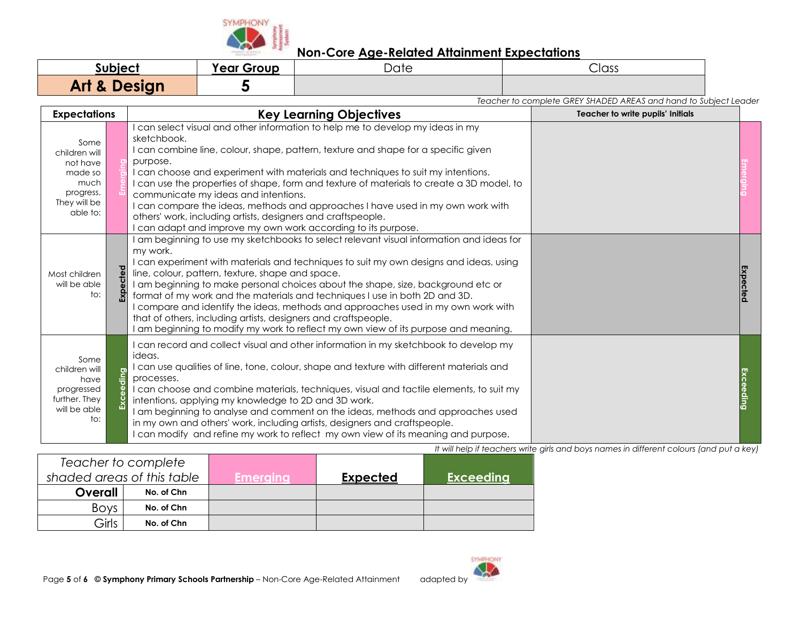

| uhiac                   | <b>Year Group</b> | 1~1 | Class                                                            |  |
|-------------------------|-------------------|-----|------------------------------------------------------------------|--|
| <b>Art &amp; Design</b> |                   |     |                                                                  |  |
|                         |                   |     | Teacher to complete GREY SHADED AREAS and hand to Subject Leader |  |

| <b>Expectations</b>                                                                           |  | <b>Key Learning Objectives</b>                                                                                                                                                                                                                                                                                                                                                                                                                                                                                                                                                                                                                              | Teacher to write pupils' Initials |          |
|-----------------------------------------------------------------------------------------------|--|-------------------------------------------------------------------------------------------------------------------------------------------------------------------------------------------------------------------------------------------------------------------------------------------------------------------------------------------------------------------------------------------------------------------------------------------------------------------------------------------------------------------------------------------------------------------------------------------------------------------------------------------------------------|-----------------------------------|----------|
| Some<br>children will<br>not have<br>made so<br>much<br>progress.<br>They will be<br>able to: |  | can select visual and other information to help me to develop my ideas in my<br>sketchbook.<br>I can combine line, colour, shape, pattern, texture and shape for a specific given<br>purpose.<br>I can choose and experiment with materials and techniques to suit my intentions.<br>I can use the properties of shape, form and texture of materials to create a 3D model, to<br>communicate my ideas and intentions.<br>I can compare the ideas, methods and approaches I have used in my own work with<br>others' work, including artists, designers and craftspeople.<br>can adapt and improve my own work according to its purpose.                    |                                   |          |
| Most children<br>will be able<br>to:                                                          |  | am beginning to use my sketchbooks to select relevant visual information and ideas for<br>my work.<br>can experiment with materials and techniques to suit my own designs and ideas, using<br>line, colour, pattern, texture, shape and space.<br>I am beginning to make personal choices about the shape, size, background etc or<br>format of my work and the materials and techniques I use in both 2D and 3D.<br>compare and identify the ideas, methods and approaches used in my own work with<br>that of others, including artists, designers and craftspeople.<br>am beginning to modify my work to reflect my own view of its purpose and meaning. |                                   | Expectec |
| Some<br>children will<br>have<br>progressed<br>further. They<br>will be able<br>to:           |  | can record and collect visual and other information in my sketchbook to develop my<br>ideas.<br>I can use qualities of line, tone, colour, shape and texture with different materials and<br>processes.<br>I can choose and combine materials, techniques, visual and tactile elements, to suit my<br>intentions, applying my knowledge to 2D and 3D work.<br>am beginning to analyse and comment on the ideas, methods and approaches used<br>in my own and others' work, including artists, designers and craftspeople.<br>can modify and refine my work to reflect my own view of its meaning and purpose.                                               |                                   |          |

*It will help if teachers write girls and boys names in different colours (and put a key)*

|                            | Teacher to complete |                  |                 |                  |
|----------------------------|---------------------|------------------|-----------------|------------------|
| shaded areas of this table |                     | <b>.Emeraina</b> | <b>Expected</b> | <b>Exceeding</b> |
| <b>Overall</b>             | No. of Chn          |                  |                 |                  |
| <b>Boys</b>                | No. of Chn          |                  |                 |                  |
| Girls                      | No. of Chn          |                  |                 |                  |